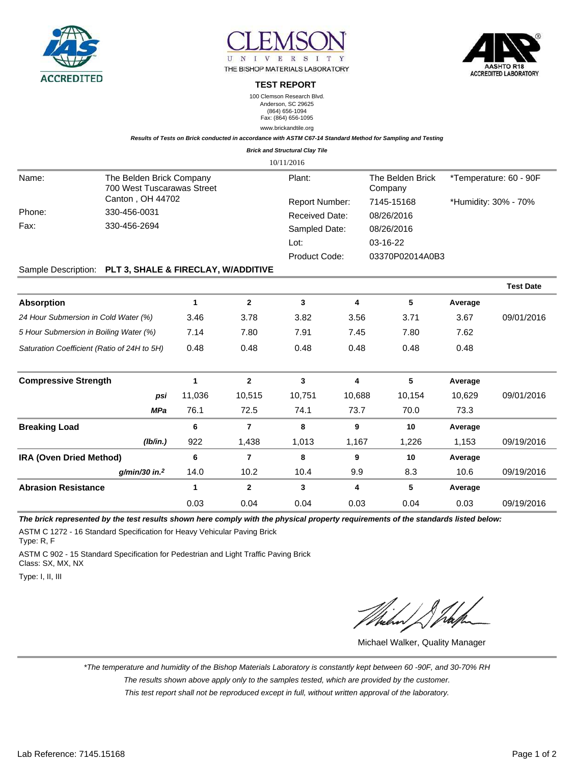





**TEST REPORT**

100 Clemson Research Blvd. Anderson, SC 29625 (864) 656-1094 Fax: (864) 656-1095 www.brickandtile.org

**Results of Tests on Brick conducted in accordance with ASTM C67-14 Standard Method for Sampling and Testing**

|  | <b>Brick and Structural Clay Tile</b> |  |
|--|---------------------------------------|--|
|  |                                       |  |

|                                                                 |                  |        |                | 10/11/2016                              |        |                             |                        |                  |
|-----------------------------------------------------------------|------------------|--------|----------------|-----------------------------------------|--------|-----------------------------|------------------------|------------------|
| The Belden Brick Company<br>Name:<br>700 West Tuscarawas Street |                  |        |                | Plant:                                  |        | The Belden Brick<br>Company | *Temperature: 60 - 90F |                  |
|                                                                 | Canton, OH 44702 |        |                | Report Number:<br><b>Received Date:</b> |        | 7145-15168                  | *Humidity: 30% - 70%   |                  |
| Phone:                                                          | 330-456-0031     |        |                |                                         |        | 08/26/2016                  |                        |                  |
| Fax:                                                            | 330-456-2694     |        |                | Sampled Date:                           |        | 08/26/2016                  |                        |                  |
|                                                                 |                  |        |                | Lot:<br>Product Code:                   |        | 03-16-22                    |                        |                  |
|                                                                 |                  |        |                |                                         |        | 03370P02014A0B3             |                        |                  |
| Sample Description: PLT 3, SHALE & FIRECLAY, W/ADDITIVE         |                  |        |                |                                         |        |                             |                        |                  |
|                                                                 |                  |        |                |                                         |        |                             |                        | <b>Test Date</b> |
| <b>Absorption</b>                                               |                  | 1      | $\mathbf{2}$   | 3                                       | 4      | 5                           | Average                |                  |
| 24 Hour Submersion in Cold Water (%)                            |                  | 3.46   | 3.78           | 3.82                                    | 3.56   | 3.71                        | 3.67                   | 09/01/2016       |
| 5 Hour Submersion in Boiling Water (%)                          |                  | 7.14   | 7.80           | 7.91                                    | 7.45   | 7.80                        | 7.62                   |                  |
| Saturation Coefficient (Ratio of 24H to 5H)                     | 0.48             | 0.48   | 0.48           | 0.48                                    | 0.48   | 0.48                        |                        |                  |
| <b>Compressive Strength</b>                                     |                  | 1      | $\mathbf{2}$   | 3                                       | 4      | 5                           | Average                |                  |
|                                                                 | psi              | 11,036 | 10,515         | 10,751                                  | 10,688 | 10,154                      | 10,629                 | 09/01/2016       |
|                                                                 | <b>MPa</b>       | 76.1   | 72.5           | 74.1                                    | 73.7   | 70.0                        | 73.3                   |                  |
| <b>Breaking Load</b>                                            |                  | 6      | 7              | 8                                       | 9      | 10                          | Average                |                  |
|                                                                 | (Ib/in.)         | 922    | 1,438          | 1,013                                   | 1,167  | 1,226                       | 1,153                  | 09/19/2016       |
| <b>IRA (Oven Dried Method)</b>                                  |                  | 6      | $\overline{7}$ | 8                                       | 9      | 10                          | Average                |                  |

**g/min/30 in.<sup>2</sup>** 14.0 10.2 10.4 9.9 8.3 10.6 09/19/2016

0.03 0.04 0.04 0.03 0.04 0.03 09/19/2016

**The brick represented by the test results shown here comply with the physical property requirements of the standards listed below:**

**Abrasion Resistance 1 2 3 4 5 Average**

ASTM C 1272 - 16 Standard Specification for Heavy Vehicular Paving Brick Type: R, F

ASTM C 902 - 15 Standard Specification for Pedestrian and Light Traffic Paving Brick Class: SX, MX, NX

Type: I, II, III

Michael Walker, Quality Manager

\*The temperature and humidity of the Bishop Materials Laboratory is constantly kept between 60 -90F, and 30-70% RH

The results shown above apply only to the samples tested, which are provided by the customer.

This test report shall not be reproduced except in full, without written approval of the laboratory.